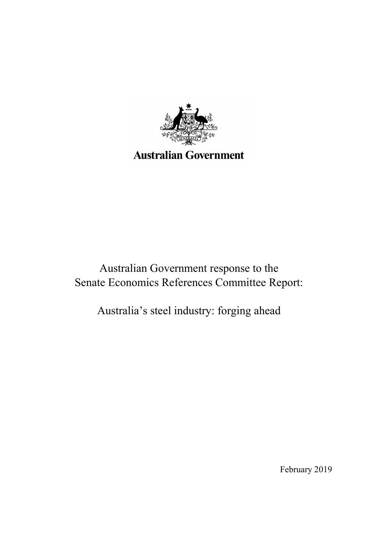

# Australian Government response to the Senate Economics References Committee Report:

Australia's steel industry: forging ahead

February 2019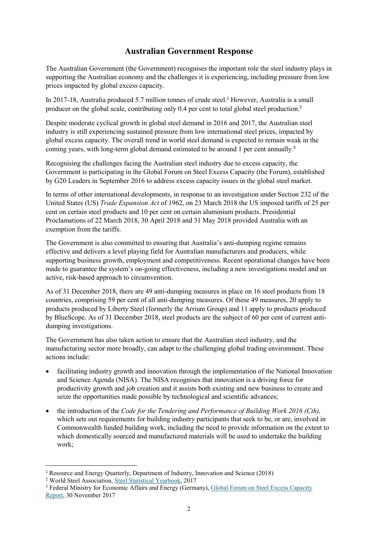# **Australian Government Response**

The Australian Government (the Government) recognises the important role the steel industry plays in supporting the Australian economy and the challenges it is experiencing, including pressure from low prices impacted by global excess capacity.

In 2017-18, Australia produced 5.7 million tonnes of crude steel.<sup>1</sup> However, Australia is a small producer on the global scale, contributing only 0.4 per cent to total global steel production.<sup>2</sup>

Despite moderate cyclical growth in global steel demand in 2016 and 2017, the Australian steel industry is still experiencing sustained pressure from low international steel prices, impacted by global excess capacity. The overall trend in world steel demand is expected to remain weak in the coming years, with long-term global demand estimated to be around 1 per cent annually.<sup>3</sup>

Recognising the challenges facing the Australian steel industry due to excess capacity, the Government is participating in the Global Forum on Steel Excess Capacity (the Forum), established by G20 Leaders in September 2016 to address excess capacity issues in the global steel market.

In terms of other international developments, in response to an investigation under Section 232 of the United States (US) *Trade Expansion Act* of 1962, on 23 March 2018 the US imposed tariffs of 25 per cent on certain steel products and 10 per cent on certain aluminium products. Presidential Proclamations of 22 March 2018, 30 April 2018 and 31 May 2018 provided Australia with an exemption from the tariffs.

The Government is also committed to ensuring that Australia's anti-dumping regime remains effective and delivers a level playing field for Australian manufacturers and producers, while supporting business growth, employment and competitiveness. Recent operational changes have been made to guarantee the system's on-going effectiveness, including a new investigations model and an active, risk-based approach to circumvention.

As of 31 December 2018, there are 49 anti-dumping measures in place on 16 steel products from 18 countries, comprising 59 per cent of all anti-dumping measures. Of these 49 measures, 20 apply to products produced by Liberty Steel (formerly the Arrium Group) and 11 apply to products produced by BlueScope. As of 31 December 2018, steel products are the subject of 60 per cent of current antidumping investigations.

The Government has also taken action to ensure that the Australian steel industry, and the manufacturing sector more broadly, can adapt to the challenging global trading environment. These actions include:

- facilitating industry growth and innovation through the implementation of the National Innovation and Science Agenda (NISA). The NISA recognises that innovation is a driving force for productivity growth and job creation and it assists both existing and new business to create and seize the opportunities made possible by technological and scientific advances;
- the introduction of the *Code for the Tendering and Performance of Building Work 2016 (Cth),* which sets out requirements for building industry participants that seek to be, or are, involved in Commonwealth funded building work, including the need to provide information on the extent to which domestically sourced and manufactured materials will be used to undertake the building work;

<sup>&</sup>lt;sup>1</sup> Resource and Energy Quarterly, Department of Industry, Innovation and Science (2018)

<sup>&</sup>lt;sup>2</sup> World Steel Association, Steel Statistical Yearbook, 2017

<sup>&</sup>lt;sup>3</sup> Federal Ministry for Economic Affairs and Energy (Germany), Global Forum on Steel Excess Capacity Report, 30 November 2017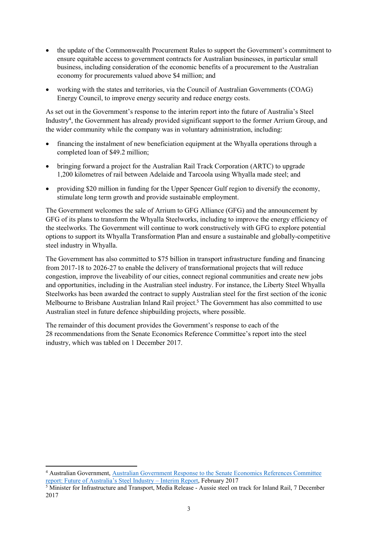- the update of the Commonwealth Procurement Rules to support the Government's commitment to ensure equitable access to government contracts for Australian businesses, in particular small business, including consideration of the economic benefits of a procurement to the Australian economy for procurements valued above \$4 million; and
- working with the states and territories, via the Council of Australian Governments (COAG) Energy Council, to improve energy security and reduce energy costs.

As set out in the Government's response to the interim report into the future of Australia's Steel Industry<sup>4</sup> , the Government has already provided significant support to the former Arrium Group, and the wider community while the company was in voluntary administration, including:

- financing the instalment of new beneficiation equipment at the Whyalla operations through a completed loan of \$49.2 million;
- bringing forward a project for the Australian Rail Track Corporation (ARTC) to upgrade 1,200 kilometres of rail between Adelaide and Tarcoola using Whyalla made steel; and
- providing \$20 million in funding for the Upper Spencer Gulf region to diversify the economy, stimulate long term growth and provide sustainable employment.

The Government welcomes the sale of Arrium to GFG Alliance (GFG) and the announcement by GFG of its plans to transform the Whyalla Steelworks, including to improve the energy efficiency of the steelworks. The Government will continue to work constructively with GFG to explore potential options to support its Whyalla Transformation Plan and ensure a sustainable and globally-competitive steel industry in Whyalla.

The Government has also committed to \$75 billion in transport infrastructure funding and financing from 2017-18 to 2026-27 to enable the delivery of transformational projects that will reduce congestion, improve the liveability of our cities, connect regional communities and create new jobs and opportunities, including in the Australian steel industry. For instance, the Liberty Steel Whyalla Steelworks has been awarded the contract to supply Australian steel for the first section of the iconic Melbourne to Brisbane Australian Inland Rail project.<sup>5</sup> The Government has also committed to use Australian steel in future defence shipbuilding projects, where possible.

The remainder of this document provides the Government's response to each of the 28 recommendations from the Senate Economics Reference Committee's report into the steel industry, which was tabled on 1 December 2017.

<sup>4</sup> Australian Government, Australian Government Response to the Senate Economics References Committee report: Future of Australia's Steel Industry – Interim Report, February 2017

<sup>&</sup>lt;sup>5</sup> Minister for Infrastructure and Transport, Media Release - Aussie steel on track for Inland Rail, 7 December 2017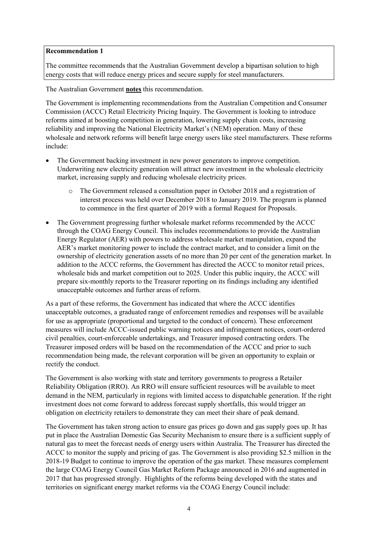The committee recommends that the Australian Government develop a bipartisan solution to high energy costs that will reduce energy prices and secure supply for steel manufacturers.

The Australian Government **notes** this recommendation.

The Government is implementing recommendations from the Australian Competition and Consumer Commission (ACCC) Retail Electricity Pricing Inquiry. The Government is looking to introduce reforms aimed at boosting competition in generation, lowering supply chain costs, increasing reliability and improving the National Electricity Market's (NEM) operation. Many of these wholesale and network reforms will benefit large energy users like steel manufacturers. These reforms include:

- The Government backing investment in new power generators to improve competition. Underwriting new electricity generation will attract new investment in the wholesale electricity market, increasing supply and reducing wholesale electricity prices.
	- o The Government released a consultation paper in October 2018 and a registration of interest process was held over December 2018 to January 2019. The program is planned to commence in the first quarter of 2019 with a formal Request for Proposals.
- The Government progressing further wholesale market reforms recommended by the ACCC through the COAG Energy Council. This includes recommendations to provide the Australian Energy Regulator (AER) with powers to address wholesale market manipulation, expand the AER's market monitoring power to include the contract market, and to consider a limit on the ownership of electricity generation assets of no more than 20 per cent of the generation market. In addition to the ACCC reforms, the Government has directed the ACCC to monitor retail prices, wholesale bids and market competition out to 2025. Under this public inquiry, the ACCC will prepare six-monthly reports to the Treasurer reporting on its findings including any identified unacceptable outcomes and further areas of reform.

As a part of these reforms, the Government has indicated that where the ACCC identifies unacceptable outcomes, a graduated range of enforcement remedies and responses will be available for use as appropriate (proportional and targeted to the conduct of concern). These enforcement measures will include ACCC-issued public warning notices and infringement notices, court-ordered civil penalties, court-enforceable undertakings, and Treasurer imposed contracting orders. The Treasurer imposed orders will be based on the recommendation of the ACCC and prior to such recommendation being made, the relevant corporation will be given an opportunity to explain or rectify the conduct.

The Government is also working with state and territory governments to progress a Retailer Reliability Obligation (RRO). An RRO will ensure sufficient resources will be available to meet demand in the NEM, particularly in regions with limited access to dispatchable generation. If the right investment does not come forward to address forecast supply shortfalls, this would trigger an obligation on electricity retailers to demonstrate they can meet their share of peak demand.

The Government has taken strong action to ensure gas prices go down and gas supply goes up. It has put in place the Australian Domestic Gas Security Mechanism to ensure there is a sufficient supply of natural gas to meet the forecast needs of energy users within Australia. The Treasurer has directed the ACCC to monitor the supply and pricing of gas. The Government is also providing \$2.5 million in the 2018-19 Budget to continue to improve the operation of the gas market. These measures complement the large COAG Energy Council Gas Market Reform Package announced in 2016 and augmented in 2017 that has progressed strongly. Highlights of the reforms being developed with the states and territories on significant energy market reforms via the COAG Energy Council include: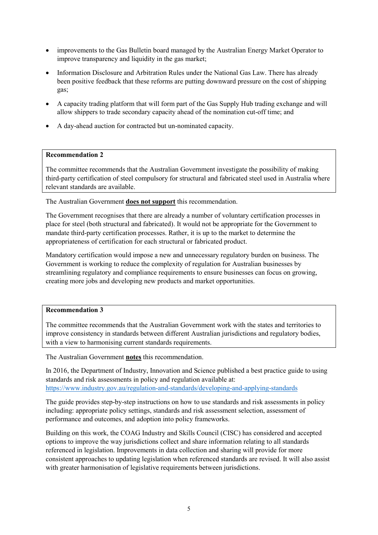- improvements to the Gas Bulletin board managed by the Australian Energy Market Operator to improve transparency and liquidity in the gas market;
- Information Disclosure and Arbitration Rules under the National Gas Law. There has already been positive feedback that these reforms are putting downward pressure on the cost of shipping gas;
- A capacity trading platform that will form part of the Gas Supply Hub trading exchange and will allow shippers to trade secondary capacity ahead of the nomination cut-off time; and
- A day-ahead auction for contracted but un-nominated capacity.

The committee recommends that the Australian Government investigate the possibility of making third-party certification of steel compulsory for structural and fabricated steel used in Australia where relevant standards are available.

The Australian Government **does not support** this recommendation.

The Government recognises that there are already a number of voluntary certification processes in place for steel (both structural and fabricated). It would not be appropriate for the Government to mandate third-party certification processes. Rather, it is up to the market to determine the appropriateness of certification for each structural or fabricated product.

Mandatory certification would impose a new and unnecessary regulatory burden on business. The Government is working to reduce the complexity of regulation for Australian businesses by streamlining regulatory and compliance requirements to ensure businesses can focus on growing, creating more jobs and developing new products and market opportunities.

#### **Recommendation 3**

The committee recommends that the Australian Government work with the states and territories to improve consistency in standards between different Australian jurisdictions and regulatory bodies, with a view to harmonising current standards requirements.

The Australian Government **notes** this recommendation.

In 2016, the Department of Industry, Innovation and Science published a best practice guide to using standards and risk assessments in policy and regulation available at: https://www.industry.gov.au/regulation-and-standards/developing-and-applying-standards

The guide provides step-by-step instructions on how to use standards and risk assessments in policy including: appropriate policy settings, standards and risk assessment selection, assessment of performance and outcomes, and adoption into policy frameworks.

Building on this work, the COAG Industry and Skills Council (CISC) has considered and accepted options to improve the way jurisdictions collect and share information relating to all standards referenced in legislation. Improvements in data collection and sharing will provide for more consistent approaches to updating legislation when referenced standards are revised. It will also assist with greater harmonisation of legislative requirements between jurisdictions.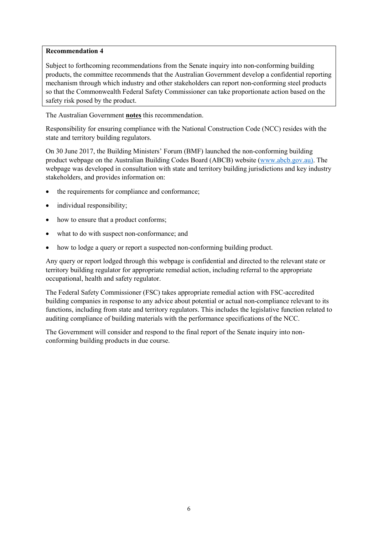Subject to forthcoming recommendations from the Senate inquiry into non-conforming building products, the committee recommends that the Australian Government develop a confidential reporting mechanism through which industry and other stakeholders can report non-conforming steel products so that the Commonwealth Federal Safety Commissioner can take proportionate action based on the safety risk posed by the product.

The Australian Government **notes** this recommendation.

Responsibility for ensuring compliance with the National Construction Code (NCC) resides with the state and territory building regulators.

On 30 June 2017, the Building Ministers' Forum (BMF) launched the non-conforming building product webpage on the Australian Building Codes Board (ABCB) website (www.abcb.gov.au). The webpage was developed in consultation with state and territory building jurisdictions and key industry stakeholders, and provides information on:

- the requirements for compliance and conformance;
- individual responsibility;
- how to ensure that a product conforms;
- what to do with suspect non-conformance; and
- how to lodge a query or report a suspected non-conforming building product.

Any query or report lodged through this webpage is confidential and directed to the relevant state or territory building regulator for appropriate remedial action, including referral to the appropriate occupational, health and safety regulator.

The Federal Safety Commissioner (FSC) takes appropriate remedial action with FSC-accredited building companies in response to any advice about potential or actual non-compliance relevant to its functions, including from state and territory regulators. This includes the legislative function related to auditing compliance of building materials with the performance specifications of the NCC.

The Government will consider and respond to the final report of the Senate inquiry into nonconforming building products in due course.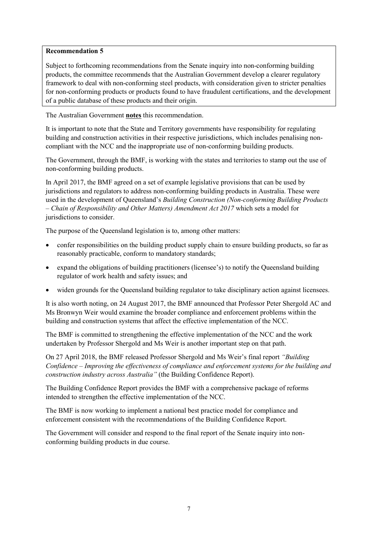Subject to forthcoming recommendations from the Senate inquiry into non-conforming building products, the committee recommends that the Australian Government develop a clearer regulatory framework to deal with non-conforming steel products, with consideration given to stricter penalties for non-conforming products or products found to have fraudulent certifications, and the development of a public database of these products and their origin.

The Australian Government **notes** this recommendation.

It is important to note that the State and Territory governments have responsibility for regulating building and construction activities in their respective jurisdictions, which includes penalising noncompliant with the NCC and the inappropriate use of non-conforming building products.

The Government, through the BMF, is working with the states and territories to stamp out the use of non-conforming building products.

In April 2017, the BMF agreed on a set of example legislative provisions that can be used by jurisdictions and regulators to address non-conforming building products in Australia. These were used in the development of Queensland's *Building Construction (Non-conforming Building Products – Chain of Responsibility and Other Matters) Amendment Act 2017* which sets a model for jurisdictions to consider.

The purpose of the Queensland legislation is to, among other matters:

- confer responsibilities on the building product supply chain to ensure building products, so far as reasonably practicable, conform to mandatory standards;
- expand the obligations of building practitioners (licensee's) to notify the Queensland building regulator of work health and safety issues; and
- widen grounds for the Queensland building regulator to take disciplinary action against licensees.

It is also worth noting, on 24 August 2017, the BMF announced that Professor Peter Shergold AC and Ms Bronwyn Weir would examine the broader compliance and enforcement problems within the building and construction systems that affect the effective implementation of the NCC.

The BMF is committed to strengthening the effective implementation of the NCC and the work undertaken by Professor Shergold and Ms Weir is another important step on that path.

On 27 April 2018, the BMF released Professor Shergold and Ms Weir's final report *"Building Confidence – Improving the effectiveness of compliance and enforcement systems for the building and construction industry across Australia"* (the Building Confidence Report).

The Building Confidence Report provides the BMF with a comprehensive package of reforms intended to strengthen the effective implementation of the NCC.

The BMF is now working to implement a national best practice model for compliance and enforcement consistent with the recommendations of the Building Confidence Report.

The Government will consider and respond to the final report of the Senate inquiry into nonconforming building products in due course.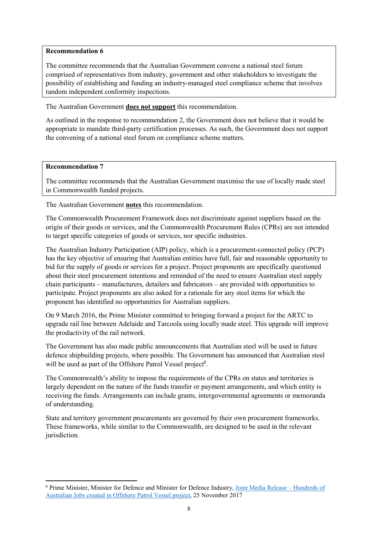The committee recommends that the Australian Government convene a national steel forum comprised of representatives from industry, government and other stakeholders to investigate the possibility of establishing and funding an industry-managed steel compliance scheme that involves random independent conformity inspections.

The Australian Government **does not support** this recommendation.

As outlined in the response to recommendation 2, the Government does not believe that it would be appropriate to mandate third-party certification processes. As such, the Government does not support the convening of a national steel forum on compliance scheme matters.

#### **Recommendation 7**

The committee recommends that the Australian Government maximise the use of locally made steel in Commonwealth funded projects.

The Australian Government **notes** this recommendation.

The Commonwealth Procurement Framework does not discriminate against suppliers based on the origin of their goods or services, and the Commonwealth Procurement Rules (CPRs) are not intended to target specific categories of goods or services, nor specific industries.

The Australian Industry Participation (AIP) policy, which is a procurement-connected policy (PCP) has the key objective of ensuring that Australian entities have full, fair and reasonable opportunity to bid for the supply of goods or services for a project. Project proponents are specifically questioned about their steel procurement intentions and reminded of the need to ensure Australian steel supply chain participants – manufacturers, detailers and fabricators – are provided with opportunities to participate. Project proponents are also asked for a rationale for any steel items for which the proponent has identified no opportunities for Australian suppliers.

On 9 March 2016, the Prime Minister committed to bringing forward a project for the ARTC to upgrade rail line between Adelaide and Tarcoola using locally made steel. This upgrade will improve the productivity of the rail network.

The Government has also made public announcements that Australian steel will be used in future defence shipbuilding projects, where possible. The Government has announced that Australian steel will be used as part of the Offshore Patrol Vessel project<sup>6</sup>.

The Commonwealth's ability to impose the requirements of the CPRs on states and territories is largely dependent on the nature of the funds transfer or payment arrangements, and which entity is receiving the funds. Arrangements can include grants, intergovernmental agreements or memoranda of understanding.

State and territory government procurements are governed by their own procurement frameworks. These frameworks, while similar to the Commonwealth, are designed to be used in the relevant jurisdiction.

<sup>&</sup>lt;sup>6</sup> Prime Minister, Minister for Defence and Minister for Defence Industry, Joint Media Release - Hundreds of Australian Jobs created in Offshore Patrol Vessel project, 25 November 2017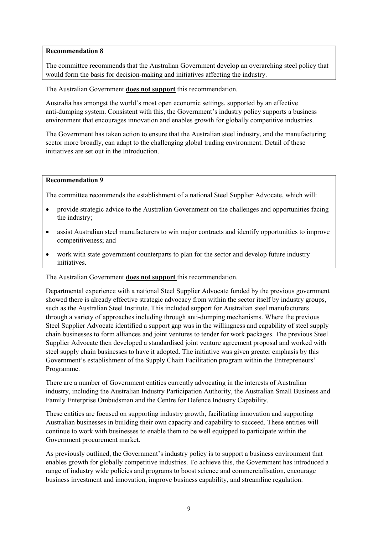The committee recommends that the Australian Government develop an overarching steel policy that would form the basis for decision-making and initiatives affecting the industry.

The Australian Government **does not support** this recommendation.

Australia has amongst the world's most open economic settings, supported by an effective anti-dumping system. Consistent with this, the Government's industry policy supports a business environment that encourages innovation and enables growth for globally competitive industries.

The Government has taken action to ensure that the Australian steel industry, and the manufacturing sector more broadly, can adapt to the challenging global trading environment. Detail of these initiatives are set out in the Introduction.

#### **Recommendation 9**

The committee recommends the establishment of a national Steel Supplier Advocate, which will:

- provide strategic advice to the Australian Government on the challenges and opportunities facing the industry;
- assist Australian steel manufacturers to win major contracts and identify opportunities to improve competitiveness; and
- work with state government counterparts to plan for the sector and develop future industry initiatives.

The Australian Government **does not support** this recommendation.

Departmental experience with a national Steel Supplier Advocate funded by the previous government showed there is already effective strategic advocacy from within the sector itself by industry groups, such as the Australian Steel Institute. This included support for Australian steel manufacturers through a variety of approaches including through anti-dumping mechanisms. Where the previous Steel Supplier Advocate identified a support gap was in the willingness and capability of steel supply chain businesses to form alliances and joint ventures to tender for work packages. The previous Steel Supplier Advocate then developed a standardised joint venture agreement proposal and worked with steel supply chain businesses to have it adopted. The initiative was given greater emphasis by this Government's establishment of the Supply Chain Facilitation program within the Entrepreneurs' Programme.

There are a number of Government entities currently advocating in the interests of Australian industry, including the Australian Industry Participation Authority, the Australian Small Business and Family Enterprise Ombudsman and the Centre for Defence Industry Capability.

These entities are focused on supporting industry growth, facilitating innovation and supporting Australian businesses in building their own capacity and capability to succeed. These entities will continue to work with businesses to enable them to be well equipped to participate within the Government procurement market.

As previously outlined, the Government's industry policy is to support a business environment that enables growth for globally competitive industries. To achieve this, the Government has introduced a range of industry wide policies and programs to boost science and commercialisation, encourage business investment and innovation, improve business capability, and streamline regulation.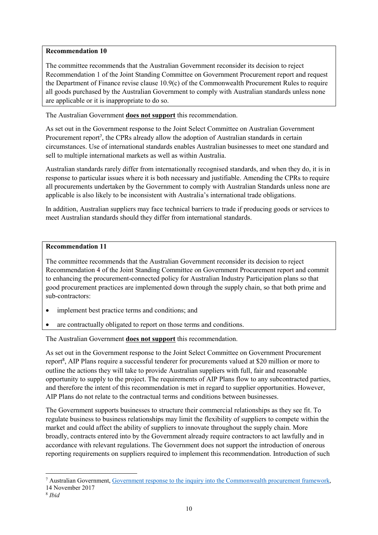The committee recommends that the Australian Government reconsider its decision to reject Recommendation 1 of the Joint Standing Committee on Government Procurement report and request the Department of Finance revise clause 10.9(c) of the Commonwealth Procurement Rules to require all goods purchased by the Australian Government to comply with Australian standards unless none are applicable or it is inappropriate to do so.

The Australian Government **does not support** this recommendation.

As set out in the Government response to the Joint Select Committee on Australian Government Procurement report<sup>7</sup>, the CPRs already allow the adoption of Australian standards in certain circumstances. Use of international standards enables Australian businesses to meet one standard and sell to multiple international markets as well as within Australia.

Australian standards rarely differ from internationally recognised standards, and when they do, it is in response to particular issues where it is both necessary and justifiable. Amending the CPRs to require all procurements undertaken by the Government to comply with Australian Standards unless none are applicable is also likely to be inconsistent with Australia's international trade obligations.

In addition, Australian suppliers may face technical barriers to trade if producing goods or services to meet Australian standards should they differ from international standards.

### **Recommendation 11**

The committee recommends that the Australian Government reconsider its decision to reject Recommendation 4 of the Joint Standing Committee on Government Procurement report and commit to enhancing the procurement-connected policy for Australian Industry Participation plans so that good procurement practices are implemented down through the supply chain, so that both prime and sub-contractors:

- implement best practice terms and conditions; and
- are contractually obligated to report on those terms and conditions.

The Australian Government **does not support** this recommendation.

As set out in the Government response to the Joint Select Committee on Government Procurement report<sup>8</sup>, AIP Plans require a successful tenderer for procurements valued at \$20 million or more to outline the actions they will take to provide Australian suppliers with full, fair and reasonable opportunity to supply to the project. The requirements of AIP Plans flow to any subcontracted parties, and therefore the intent of this recommendation is met in regard to supplier opportunities. However, AIP Plans do not relate to the contractual terms and conditions between businesses.

The Government supports businesses to structure their commercial relationships as they see fit. To regulate business to business relationships may limit the flexibility of suppliers to compete within the market and could affect the ability of suppliers to innovate throughout the supply chain. More broadly, contracts entered into by the Government already require contractors to act lawfully and in accordance with relevant regulations. The Government does not support the introduction of onerous reporting requirements on suppliers required to implement this recommendation. Introduction of such

<sup>&</sup>lt;sup>7</sup> Australian Government, Government response to the inquiry into the Commonwealth procurement framework,

<sup>14</sup> November 2017

<sup>8</sup> *Ibid*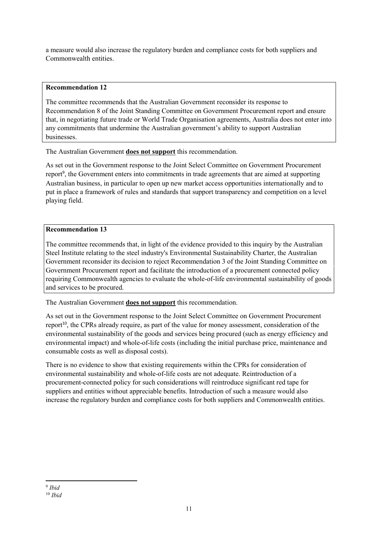a measure would also increase the regulatory burden and compliance costs for both suppliers and Commonwealth entities.

# **Recommendation 12**

The committee recommends that the Australian Government reconsider its response to Recommendation 8 of the Joint Standing Committee on Government Procurement report and ensure that, in negotiating future trade or World Trade Organisation agreements, Australia does not enter into any commitments that undermine the Australian government's ability to support Australian businesses.

The Australian Government **does not support** this recommendation.

As set out in the Government response to the Joint Select Committee on Government Procurement report<sup>9</sup>, the Government enters into commitments in trade agreements that are aimed at supporting Australian business, in particular to open up new market access opportunities internationally and to put in place a framework of rules and standards that support transparency and competition on a level playing field.

# **Recommendation 13**

The committee recommends that, in light of the evidence provided to this inquiry by the Australian Steel Institute relating to the steel industry's Environmental Sustainability Charter, the Australian Government reconsider its decision to reject Recommendation 3 of the Joint Standing Committee on Government Procurement report and facilitate the introduction of a procurement connected policy requiring Commonwealth agencies to evaluate the whole-of-life environmental sustainability of goods and services to be procured.

The Australian Government **does not support** this recommendation.

As set out in the Government response to the Joint Select Committee on Government Procurement report<sup>10</sup>, the CPRs already require, as part of the value for money assessment, consideration of the environmental sustainability of the goods and services being procured (such as energy efficiency and environmental impact) and whole-of-life costs (including the initial purchase price, maintenance and consumable costs as well as disposal costs).

There is no evidence to show that existing requirements within the CPRs for consideration of environmental sustainability and whole-of-life costs are not adequate. Reintroduction of a procurement-connected policy for such considerations will reintroduce significant red tape for suppliers and entities without appreciable benefits. Introduction of such a measure would also increase the regulatory burden and compliance costs for both suppliers and Commonwealth entities.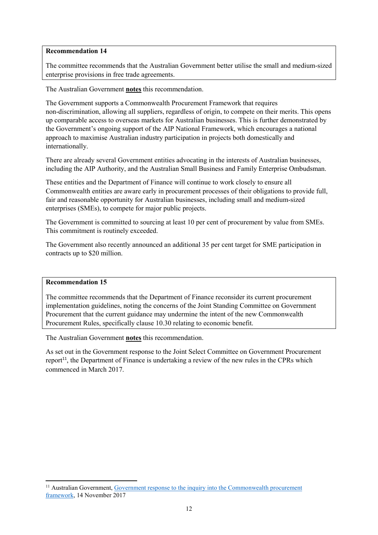The committee recommends that the Australian Government better utilise the small and medium-sized enterprise provisions in free trade agreements.

The Australian Government **notes** this recommendation.

The Government supports a Commonwealth Procurement Framework that requires non-discrimination, allowing all suppliers, regardless of origin, to compete on their merits. This opens up comparable access to overseas markets for Australian businesses. This is further demonstrated by the Government's ongoing support of the AIP National Framework, which encourages a national approach to maximise Australian industry participation in projects both domestically and internationally.

There are already several Government entities advocating in the interests of Australian businesses, including the AIP Authority, and the Australian Small Business and Family Enterprise Ombudsman.

These entities and the Department of Finance will continue to work closely to ensure all Commonwealth entities are aware early in procurement processes of their obligations to provide full, fair and reasonable opportunity for Australian businesses, including small and medium-sized enterprises (SMEs), to compete for major public projects.

The Government is committed to sourcing at least 10 per cent of procurement by value from SMEs. This commitment is routinely exceeded.

The Government also recently announced an additional 35 per cent target for SME participation in contracts up to \$20 million.

#### **Recommendation 15**

The committee recommends that the Department of Finance reconsider its current procurement implementation guidelines, noting the concerns of the Joint Standing Committee on Government Procurement that the current guidance may undermine the intent of the new Commonwealth Procurement Rules, specifically clause 10.30 relating to economic benefit.

The Australian Government **notes** this recommendation.

As set out in the Government response to the Joint Select Committee on Government Procurement report<sup>11</sup>, the Department of Finance is undertaking a review of the new rules in the CPRs which commenced in March 2017.

<sup>&</sup>lt;sup>11</sup> Australian Government, Government response to the inquiry into the Commonwealth procurement framework, 14 November 2017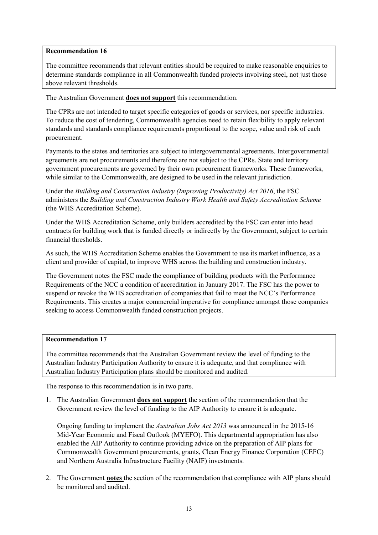The committee recommends that relevant entities should be required to make reasonable enquiries to determine standards compliance in all Commonwealth funded projects involving steel, not just those above relevant thresholds.

The Australian Government **does not support** this recommendation.

The CPRs are not intended to target specific categories of goods or services, nor specific industries. To reduce the cost of tendering, Commonwealth agencies need to retain flexibility to apply relevant standards and standards compliance requirements proportional to the scope, value and risk of each procurement.

Payments to the states and territories are subject to intergovernmental agreements. Intergovernmental agreements are not procurements and therefore are not subject to the CPRs. State and territory government procurements are governed by their own procurement frameworks. These frameworks, while similar to the Commonwealth, are designed to be used in the relevant jurisdiction.

Under the *Building and Construction Industry (Improving Productivity) Act 2016*, the FSC administers the *Building and Construction Industry Work Health and Safety Accreditation Scheme*  (the WHS Accreditation Scheme).

Under the WHS Accreditation Scheme, only builders accredited by the FSC can enter into head contracts for building work that is funded directly or indirectly by the Government, subject to certain financial thresholds.

As such, the WHS Accreditation Scheme enables the Government to use its market influence, as a client and provider of capital, to improve WHS across the building and construction industry.

The Government notes the FSC made the compliance of building products with the Performance Requirements of the NCC a condition of accreditation in January 2017. The FSC has the power to suspend or revoke the WHS accreditation of companies that fail to meet the NCC's Performance Requirements. This creates a major commercial imperative for compliance amongst those companies seeking to access Commonwealth funded construction projects.

#### **Recommendation 17**

The committee recommends that the Australian Government review the level of funding to the Australian Industry Participation Authority to ensure it is adequate, and that compliance with Australian Industry Participation plans should be monitored and audited.

The response to this recommendation is in two parts.

1. The Australian Government **does not support** the section of the recommendation that the Government review the level of funding to the AIP Authority to ensure it is adequate.

Ongoing funding to implement the *Australian Jobs Act 2013* was announced in the 2015-16 Mid-Year Economic and Fiscal Outlook (MYEFO). This departmental appropriation has also enabled the AIP Authority to continue providing advice on the preparation of AIP plans for Commonwealth Government procurements, grants, Clean Energy Finance Corporation (CEFC) and Northern Australia Infrastructure Facility (NAIF) investments.

2. The Government **notes** the section of the recommendation that compliance with AIP plans should be monitored and audited.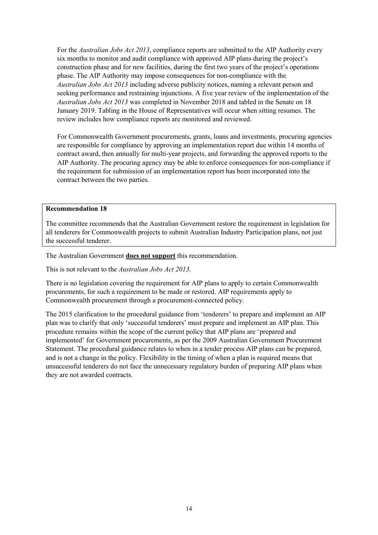For the *Australian Jobs Act 2013*, compliance reports are submitted to the AIP Authority every six months to monitor and audit compliance with approved AIP plans during the project's construction phase and for new facilities, during the first two years of the project's operations phase. The AIP Authority may impose consequences for non-compliance with the *Australian Jobs Act 2013* including adverse publicity notices, naming a relevant person and seeking performance and restraining injunctions. A five year review of the implementation of the *Australian Jobs Act 2013* was completed in November 2018 and tabled in the Senate on 18 January 2019. Tabling in the House of Representatives will occur when sitting resumes. The review includes how compliance reports are monitored and reviewed.

For Commonwealth Government procurements, grants, loans and investments, procuring agencies are responsible for compliance by approving an implementation report due within 14 months of contract award, then annually for multi-year projects, and forwarding the approved reports to the AIP Authority. The procuring agency may be able to enforce consequences for non-compliance if the requirement for submission of an implementation report has been incorporated into the contract between the two parties.

#### **Recommendation 18**

The committee recommends that the Australian Government restore the requirement in legislation for all tenderers for Commonwealth projects to submit Australian Industry Participation plans, not just the successful tenderer.

The Australian Government **does not support** this recommendation.

This is not relevant to the *Australian Jobs Act 2013.* 

There is no legislation covering the requirement for AIP plans to apply to certain Commonwealth procurements, for such a requirement to be made or restored. AIP requirements apply to Commonwealth procurement through a procurement-connected policy.

The 2015 clarification to the procedural guidance from 'tenderers' to prepare and implement an AIP plan was to clarify that only 'successful tenderers' must prepare and implement an AIP plan. This procedure remains within the scope of the current policy that AIP plans are 'prepared and implemented' for Government procurements, as per the 2009 Australian Government Procurement Statement. The procedural guidance relates to when in a tender process AIP plans can be prepared, and is not a change in the policy. Flexibility in the timing of when a plan is required means that unsuccessful tenderers do not face the unnecessary regulatory burden of preparing AIP plans when they are not awarded contracts.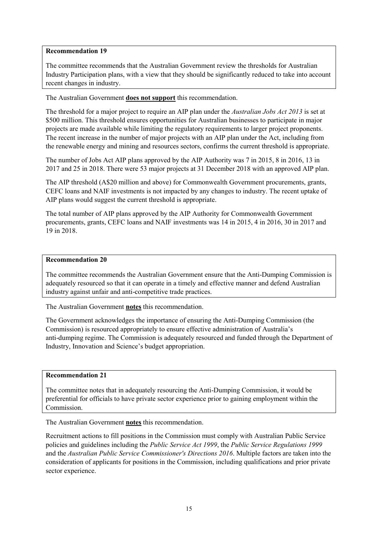The committee recommends that the Australian Government review the thresholds for Australian Industry Participation plans, with a view that they should be significantly reduced to take into account recent changes in industry.

The Australian Government **does not support** this recommendation.

The threshold for a major project to require an AIP plan under the *Australian Jobs Act 2013* is set at \$500 million. This threshold ensures opportunities for Australian businesses to participate in major projects are made available while limiting the regulatory requirements to larger project proponents. The recent increase in the number of major projects with an AIP plan under the Act, including from the renewable energy and mining and resources sectors, confirms the current threshold is appropriate.

The number of Jobs Act AIP plans approved by the AIP Authority was 7 in 2015, 8 in 2016, 13 in 2017 and 25 in 2018. There were 53 major projects at 31 December 2018 with an approved AIP plan.

The AIP threshold (A\$20 million and above) for Commonwealth Government procurements, grants, CEFC loans and NAIF investments is not impacted by any changes to industry. The recent uptake of AIP plans would suggest the current threshold is appropriate.

The total number of AIP plans approved by the AIP Authority for Commonwealth Government procurements, grants, CEFC loans and NAIF investments was 14 in 2015, 4 in 2016, 30 in 2017 and 19 in 2018.

### **Recommendation 20**

The committee recommends the Australian Government ensure that the Anti-Dumping Commission is adequately resourced so that it can operate in a timely and effective manner and defend Australian industry against unfair and anti-competitive trade practices.

The Australian Government **notes** this recommendation.

The Government acknowledges the importance of ensuring the Anti-Dumping Commission (the Commission) is resourced appropriately to ensure effective administration of Australia's anti-dumping regime. The Commission is adequately resourced and funded through the Department of Industry, Innovation and Science's budget appropriation.

## **Recommendation 21**

The committee notes that in adequately resourcing the Anti-Dumping Commission, it would be preferential for officials to have private sector experience prior to gaining employment within the Commission.

The Australian Government **notes** this recommendation.

Recruitment actions to fill positions in the Commission must comply with Australian Public Service policies and guidelines including the *Public Service Act 1999*, the *Public Service Regulations 1999* and the *Australian Public Service Commissioner's Directions 2016*. Multiple factors are taken into the consideration of applicants for positions in the Commission, including qualifications and prior private sector experience.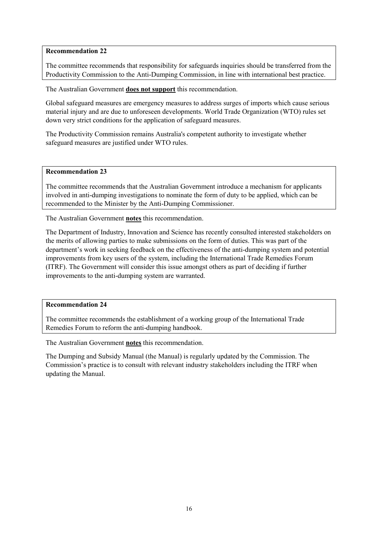The committee recommends that responsibility for safeguards inquiries should be transferred from the Productivity Commission to the Anti-Dumping Commission, in line with international best practice.

The Australian Government **does not support** this recommendation.

Global safeguard measures are emergency measures to address surges of imports which cause serious material injury and are due to unforeseen developments. World Trade Organization (WTO) rules set down very strict conditions for the application of safeguard measures.

The Productivity Commission remains Australia's competent authority to investigate whether safeguard measures are justified under WTO rules.

#### **Recommendation 23**

The committee recommends that the Australian Government introduce a mechanism for applicants involved in anti-dumping investigations to nominate the form of duty to be applied, which can be recommended to the Minister by the Anti-Dumping Commissioner.

The Australian Government **notes** this recommendation.

The Department of Industry, Innovation and Science has recently consulted interested stakeholders on the merits of allowing parties to make submissions on the form of duties. This was part of the department's work in seeking feedback on the effectiveness of the anti-dumping system and potential improvements from key users of the system, including the International Trade Remedies Forum (ITRF). The Government will consider this issue amongst others as part of deciding if further improvements to the anti-dumping system are warranted.

#### **Recommendation 24**

The committee recommends the establishment of a working group of the International Trade Remedies Forum to reform the anti-dumping handbook.

The Australian Government **notes** this recommendation.

The Dumping and Subsidy Manual (the Manual) is regularly updated by the Commission. The Commission's practice is to consult with relevant industry stakeholders including the ITRF when updating the Manual.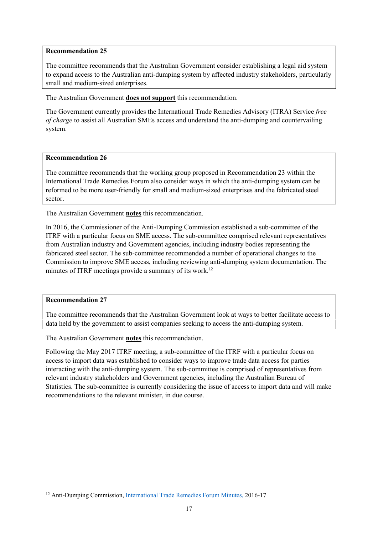The committee recommends that the Australian Government consider establishing a legal aid system to expand access to the Australian anti-dumping system by affected industry stakeholders, particularly small and medium-sized enterprises.

The Australian Government **does not support** this recommendation.

The Government currently provides the International Trade Remedies Advisory (ITRA) Service *free of charge* to assist all Australian SMEs access and understand the anti-dumping and countervailing system.

# **Recommendation 26**

The committee recommends that the working group proposed in Recommendation 23 within the International Trade Remedies Forum also consider ways in which the anti-dumping system can be reformed to be more user-friendly for small and medium-sized enterprises and the fabricated steel sector.

The Australian Government **notes** this recommendation.

In 2016, the Commissioner of the Anti-Dumping Commission established a sub-committee of the ITRF with a particular focus on SME access. The sub-committee comprised relevant representatives from Australian industry and Government agencies, including industry bodies representing the fabricated steel sector. The sub-committee recommended a number of operational changes to the Commission to improve SME access, including reviewing anti-dumping system documentation. The minutes of ITRF meetings provide a summary of its work.<sup>12</sup>

#### **Recommendation 27**

The committee recommends that the Australian Government look at ways to better facilitate access to data held by the government to assist companies seeking to access the anti-dumping system.

The Australian Government **notes** this recommendation.

Following the May 2017 ITRF meeting, a sub-committee of the ITRF with a particular focus on access to import data was established to consider ways to improve trade data access for parties interacting with the anti-dumping system. The sub-committee is comprised of representatives from relevant industry stakeholders and Government agencies, including the Australian Bureau of Statistics. The sub-committee is currently considering the issue of access to import data and will make recommendations to the relevant minister, in due course.

<sup>&</sup>lt;sup>12</sup> Anti-Dumping Commission, International Trade Remedies Forum Minutes, 2016-17